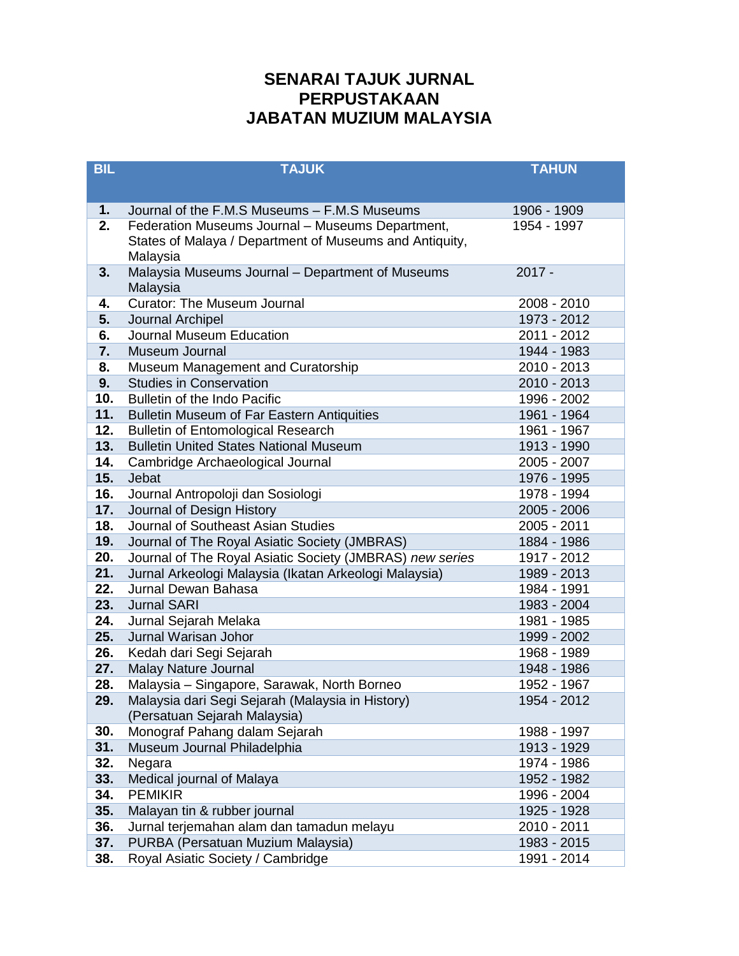## **SENARAI TAJUK JURNAL PERPUSTAKAAN JABATAN MUZIUM MALAYSIA**

| <b>BIL</b> | <b>TAJUK</b>                                             | <b>TAHUN</b> |
|------------|----------------------------------------------------------|--------------|
|            |                                                          |              |
| 1.         | Journal of the F.M.S Museums - F.M.S Museums             | 1906 - 1909  |
| 2.         | Federation Museums Journal - Museums Department,         | 1954 - 1997  |
|            | States of Malaya / Department of Museums and Antiquity,  |              |
|            | Malaysia                                                 |              |
| 3.         | Malaysia Museums Journal - Department of Museums         | $2017 -$     |
|            | Malaysia                                                 |              |
| 4.         | <b>Curator: The Museum Journal</b>                       | 2008 - 2010  |
| 5.         | Journal Archipel                                         | 1973 - 2012  |
| 6.         | Journal Museum Education                                 | 2011 - 2012  |
| 7.         | Museum Journal                                           | 1944 - 1983  |
| 8.         | Museum Management and Curatorship                        | 2010 - 2013  |
| 9.         | <b>Studies in Conservation</b>                           | 2010 - 2013  |
| 10.        | <b>Bulletin of the Indo Pacific</b>                      | 1996 - 2002  |
| 11.        | <b>Bulletin Museum of Far Eastern Antiquities</b>        | 1961 - 1964  |
| 12.        | <b>Bulletin of Entomological Research</b>                | 1961 - 1967  |
| 13.        | <b>Bulletin United States National Museum</b>            | 1913 - 1990  |
| 14.        | Cambridge Archaeological Journal                         | 2005 - 2007  |
| 15.        | Jebat                                                    | 1976 - 1995  |
| 16.        | Journal Antropoloji dan Sosiologi                        | 1978 - 1994  |
| 17.        | Journal of Design History                                | 2005 - 2006  |
| 18.        | Journal of Southeast Asian Studies                       | 2005 - 2011  |
| 19.        | Journal of The Royal Asiatic Society (JMBRAS)            | 1884 - 1986  |
| 20.        | Journal of The Royal Asiatic Society (JMBRAS) new series | 1917 - 2012  |
| 21.        | Jurnal Arkeologi Malaysia (Ikatan Arkeologi Malaysia)    | 1989 - 2013  |
| 22.        | Jurnal Dewan Bahasa                                      | 1984 - 1991  |
| 23.        | <b>Jurnal SARI</b>                                       | 1983 - 2004  |
| 24.        | Jurnal Sejarah Melaka                                    | 1981 - 1985  |
| 25.        | Jurnal Warisan Johor                                     | 1999 - 2002  |
| 26.        | Kedah dari Segi Sejarah                                  | 1968 - 1989  |
| 27.        | <b>Malay Nature Journal</b>                              | 1948 - 1986  |
| 28.        | Malaysia - Singapore, Sarawak, North Borneo              | 1952 - 1967  |
| 29.        | Malaysia dari Segi Sejarah (Malaysia in History)         | 1954 - 2012  |
|            | (Persatuan Sejarah Malaysia)                             |              |
| 30.        | Monograf Pahang dalam Sejarah                            | 1988 - 1997  |
| 31.        | Museum Journal Philadelphia                              | 1913 - 1929  |
| 32.        | Negara                                                   | 1974 - 1986  |
| 33.        | Medical journal of Malaya                                | 1952 - 1982  |
| 34.        | <b>PEMIKIR</b>                                           | 1996 - 2004  |
| 35.        | Malayan tin & rubber journal                             | 1925 - 1928  |
| 36.        | Jurnal terjemahan alam dan tamadun melayu                | 2010 - 2011  |
| 37.        | PURBA (Persatuan Muzium Malaysia)                        | 1983 - 2015  |
| 38.        | Royal Asiatic Society / Cambridge                        | 1991 - 2014  |